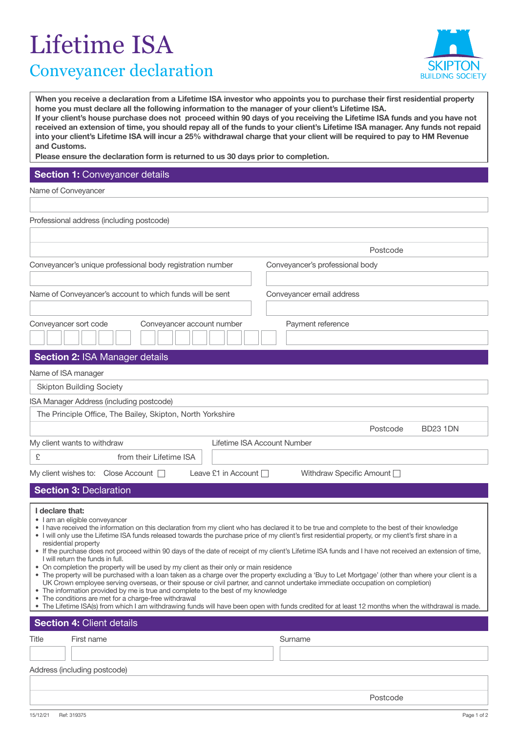## Lifetime ISA Conveyancer declaration



**When you receive a declaration from a Lifetime ISA investor who appoints you to purchase their first residential property home you must declare all the following information to the manager of your client's Lifetime ISA. If your client's house purchase does not proceed within 90 days of you receiving the Lifetime ISA funds and you have not received an extension of time, you should repay all of the funds to your client's Lifetime ISA manager. Any funds not repaid into your client's Lifetime ISA will incur a 25% withdrawal charge that your client will be required to pay to HM Revenue and Customs.** 

**Please ensure the declaration form is returned to us 30 days prior to completion.**

## **Section 1: Conveyancer details**

Name of Conveyancer

| Professional address (including postcode)                                                                                                                                                                                                                                                                                                                                                                                                                                                                                                                                                                                                                                                                                                                                                                                                                                                                                                                                                                                                                                                                                                                                                                                                                                       |                                                             |                                 |  |  |
|---------------------------------------------------------------------------------------------------------------------------------------------------------------------------------------------------------------------------------------------------------------------------------------------------------------------------------------------------------------------------------------------------------------------------------------------------------------------------------------------------------------------------------------------------------------------------------------------------------------------------------------------------------------------------------------------------------------------------------------------------------------------------------------------------------------------------------------------------------------------------------------------------------------------------------------------------------------------------------------------------------------------------------------------------------------------------------------------------------------------------------------------------------------------------------------------------------------------------------------------------------------------------------|-------------------------------------------------------------|---------------------------------|--|--|
|                                                                                                                                                                                                                                                                                                                                                                                                                                                                                                                                                                                                                                                                                                                                                                                                                                                                                                                                                                                                                                                                                                                                                                                                                                                                                 |                                                             |                                 |  |  |
|                                                                                                                                                                                                                                                                                                                                                                                                                                                                                                                                                                                                                                                                                                                                                                                                                                                                                                                                                                                                                                                                                                                                                                                                                                                                                 |                                                             | Postcode                        |  |  |
|                                                                                                                                                                                                                                                                                                                                                                                                                                                                                                                                                                                                                                                                                                                                                                                                                                                                                                                                                                                                                                                                                                                                                                                                                                                                                 | Conveyancer's unique professional body registration number  | Conveyancer's professional body |  |  |
|                                                                                                                                                                                                                                                                                                                                                                                                                                                                                                                                                                                                                                                                                                                                                                                                                                                                                                                                                                                                                                                                                                                                                                                                                                                                                 |                                                             |                                 |  |  |
|                                                                                                                                                                                                                                                                                                                                                                                                                                                                                                                                                                                                                                                                                                                                                                                                                                                                                                                                                                                                                                                                                                                                                                                                                                                                                 | Name of Conveyancer's account to which funds will be sent   | Conveyancer email address       |  |  |
|                                                                                                                                                                                                                                                                                                                                                                                                                                                                                                                                                                                                                                                                                                                                                                                                                                                                                                                                                                                                                                                                                                                                                                                                                                                                                 |                                                             |                                 |  |  |
|                                                                                                                                                                                                                                                                                                                                                                                                                                                                                                                                                                                                                                                                                                                                                                                                                                                                                                                                                                                                                                                                                                                                                                                                                                                                                 | Conveyancer sort code<br>Conveyancer account number         | Payment reference               |  |  |
|                                                                                                                                                                                                                                                                                                                                                                                                                                                                                                                                                                                                                                                                                                                                                                                                                                                                                                                                                                                                                                                                                                                                                                                                                                                                                 |                                                             |                                 |  |  |
|                                                                                                                                                                                                                                                                                                                                                                                                                                                                                                                                                                                                                                                                                                                                                                                                                                                                                                                                                                                                                                                                                                                                                                                                                                                                                 | Section 2: ISA Manager details                              |                                 |  |  |
| Name of ISA manager                                                                                                                                                                                                                                                                                                                                                                                                                                                                                                                                                                                                                                                                                                                                                                                                                                                                                                                                                                                                                                                                                                                                                                                                                                                             |                                                             |                                 |  |  |
| <b>Skipton Building Society</b>                                                                                                                                                                                                                                                                                                                                                                                                                                                                                                                                                                                                                                                                                                                                                                                                                                                                                                                                                                                                                                                                                                                                                                                                                                                 |                                                             |                                 |  |  |
| ISA Manager Address (including postcode)                                                                                                                                                                                                                                                                                                                                                                                                                                                                                                                                                                                                                                                                                                                                                                                                                                                                                                                                                                                                                                                                                                                                                                                                                                        |                                                             |                                 |  |  |
|                                                                                                                                                                                                                                                                                                                                                                                                                                                                                                                                                                                                                                                                                                                                                                                                                                                                                                                                                                                                                                                                                                                                                                                                                                                                                 | The Principle Office, The Bailey, Skipton, North Yorkshire  |                                 |  |  |
|                                                                                                                                                                                                                                                                                                                                                                                                                                                                                                                                                                                                                                                                                                                                                                                                                                                                                                                                                                                                                                                                                                                                                                                                                                                                                 |                                                             | Postcode<br><b>BD23 1DN</b>     |  |  |
| Lifetime ISA Account Number<br>My client wants to withdraw                                                                                                                                                                                                                                                                                                                                                                                                                                                                                                                                                                                                                                                                                                                                                                                                                                                                                                                                                                                                                                                                                                                                                                                                                      |                                                             |                                 |  |  |
| £                                                                                                                                                                                                                                                                                                                                                                                                                                                                                                                                                                                                                                                                                                                                                                                                                                                                                                                                                                                                                                                                                                                                                                                                                                                                               | from their Lifetime ISA                                     |                                 |  |  |
|                                                                                                                                                                                                                                                                                                                                                                                                                                                                                                                                                                                                                                                                                                                                                                                                                                                                                                                                                                                                                                                                                                                                                                                                                                                                                 | Leave £1 in Account □<br>My client wishes to: Close Account | Withdraw Specific Amount        |  |  |
|                                                                                                                                                                                                                                                                                                                                                                                                                                                                                                                                                                                                                                                                                                                                                                                                                                                                                                                                                                                                                                                                                                                                                                                                                                                                                 | <b>Section 3: Declaration</b>                               |                                 |  |  |
| I declare that:<br>• I am an eligible conveyancer<br>• I have received the information on this declaration from my client who has declared it to be true and complete to the best of their knowledge<br>. I will only use the Lifetime ISA funds released towards the purchase price of my client's first residential property, or my client's first share in a<br>residential property<br>. If the purchase does not proceed within 90 days of the date of receipt of my client's Lifetime ISA funds and I have not received an extension of time,<br>I will return the funds in full.<br>• On completion the property will be used by my client as their only or main residence<br>• The property will be purchased with a loan taken as a charge over the property excluding a 'Buy to Let Mortgage' (other than where your client is a<br>UK Crown employee serving overseas, or their spouse or civil partner, and cannot undertake immediate occupation on completion)<br>• The information provided by me is true and complete to the best of my knowledge<br>The conditions are met for a charge-free withdrawal<br>. The Lifetime ISA(s) from which I am withdrawing funds will have been open with funds credited for at least 12 months when the withdrawal is made. |                                                             |                                 |  |  |
|                                                                                                                                                                                                                                                                                                                                                                                                                                                                                                                                                                                                                                                                                                                                                                                                                                                                                                                                                                                                                                                                                                                                                                                                                                                                                 | <b>Section 4: Client details</b>                            |                                 |  |  |
| Title                                                                                                                                                                                                                                                                                                                                                                                                                                                                                                                                                                                                                                                                                                                                                                                                                                                                                                                                                                                                                                                                                                                                                                                                                                                                           | First name                                                  | Surname                         |  |  |
|                                                                                                                                                                                                                                                                                                                                                                                                                                                                                                                                                                                                                                                                                                                                                                                                                                                                                                                                                                                                                                                                                                                                                                                                                                                                                 |                                                             |                                 |  |  |
|                                                                                                                                                                                                                                                                                                                                                                                                                                                                                                                                                                                                                                                                                                                                                                                                                                                                                                                                                                                                                                                                                                                                                                                                                                                                                 | Address (including postcode)                                |                                 |  |  |